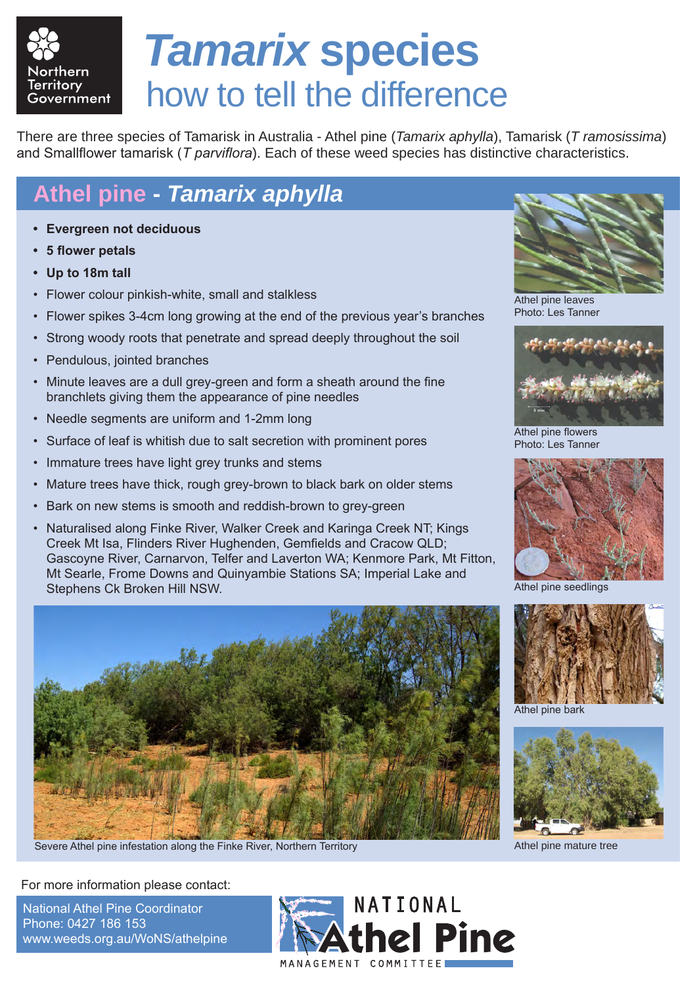

## *Tamarix* **species** how to tell the difference

There are three species of Tamarisk in Australia - Athel pine (*Tamarix aphylla*), Tamarisk (*T ramosissima*) and Smallflower tamarisk (*T parviflora*). Each of these weed species has distinctive characteristics.

## **Athel pine -** *Tamarix aphylla*

- **• Evergreen not deciduous**
- **5** flower petals
- **• Up to 18m tall**
- Flower colour pinkish-white, small and stalkless
- Flower spikes 3-4cm long growing at the end of the previous year's branches
- Strong woody roots that penetrate and spread deeply throughout the soil
- Pendulous, jointed branches
- Minute leaves are a dull grey-green and form a sheath around the fine branchlets giving them the appearance of pine needles
- Needle segments are uniform and 1-2mm long
- Surface of leaf is whitish due to salt secretion with prominent pores
- Immature trees have light grey trunks and stems
- Mature trees have thick, rough grey-brown to black bark on older stems
- Bark on new stems is smooth and reddish-brown to grey-green
- Naturalised along Finke River, Walker Creek and Karinga Creek NT; Kings Creek Mt Isa, Flinders River Hughenden, Gemfields and Cracow QLD; Gascoyne River, Carnarvon, Telfer and Laverton WA; Kenmore Park, Mt Fitton, Mt Searle, Frome Downs and Quinyambie Stations SA; Imperial Lake and Stephens Ck Broken Hill NSW.



Severe Athel pine infestation along the Finke River, Northern Territory **Athel 2016** Athel pine mature tree



Athel pine leaves Photo: Les Tanner



Athel pine flowers Photo: Les Tanner



Athel pine seedlings



Athel pine bark



For more information please contact:

National Athel Pine Coordinator Phone: 0427 186 153 www.weeds.org.au/WoNS/athelpine